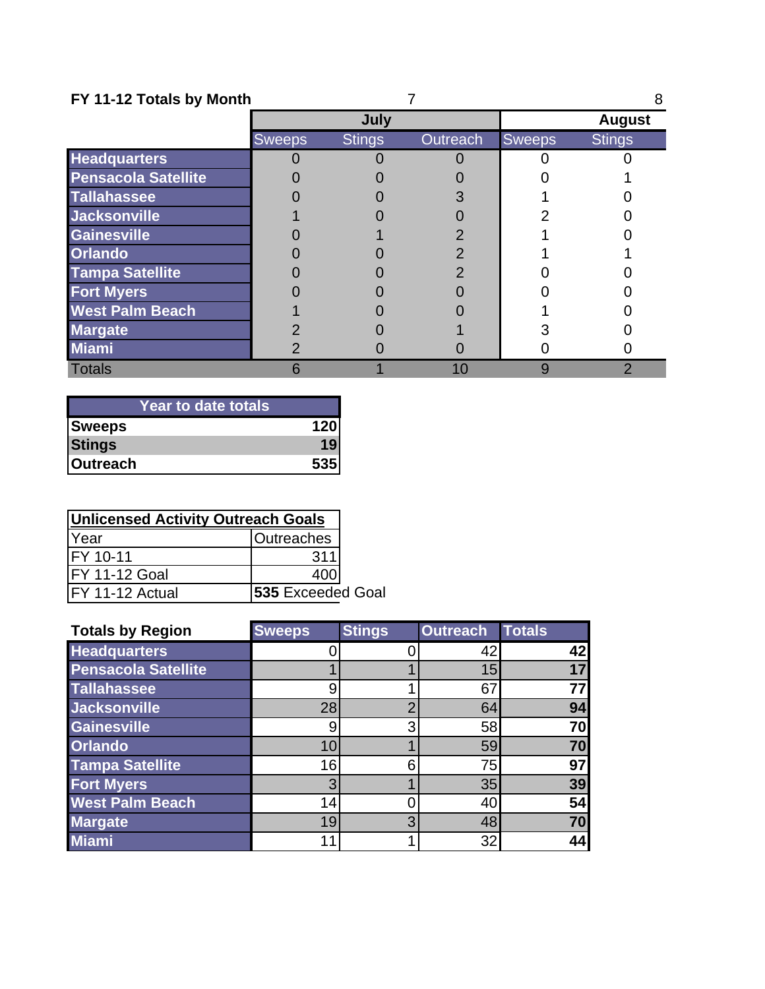|  |  | FY 11-12 Totals by Month |  |  |
|--|--|--------------------------|--|--|
|--|--|--------------------------|--|--|

| FY 11-12 Totals by Month   |               |               |          |               |                |
|----------------------------|---------------|---------------|----------|---------------|----------------|
|                            |               | July          |          | <b>August</b> |                |
|                            | <b>Sweeps</b> | <b>Stings</b> | Outreach | <b>Sweeps</b> | <b>Stings</b>  |
| <b>Headquarters</b>        |               |               |          |               |                |
| <b>Pensacola Satellite</b> |               |               |          |               |                |
| <b>Tallahassee</b>         |               |               |          |               |                |
| <b>Jacksonville</b>        |               |               |          |               |                |
| <b>Gainesville</b>         |               |               |          |               |                |
| <b>Orlando</b>             |               |               |          |               |                |
| <b>Tampa Satellite</b>     |               |               |          |               |                |
| <b>Fort Myers</b>          |               |               |          |               |                |
| <b>West Palm Beach</b>     |               |               |          |               |                |
| <b>Margate</b>             |               |               |          |               |                |
| <b>Miami</b>               |               |               |          |               |                |
| <b>Totals</b>              |               |               | 10       |               | $\overline{2}$ |

| <b>Year to date totals</b> |     |
|----------------------------|-----|
| <b>Sweeps</b>              | 120 |
| <b>Stings</b>              | 19  |
| <b>Outreach</b>            | 535 |

| <b>Unlicensed Activity Outreach Goals</b> |                   |  |  |  |
|-------------------------------------------|-------------------|--|--|--|
| Year                                      | <b>Outreaches</b> |  |  |  |
| FY 10-11                                  | 311               |  |  |  |
| FY 11-12 Goal                             | 400               |  |  |  |
| FY 11-12 Actual                           | 535 Exceeded Goal |  |  |  |

| <b>Totals by Region</b>    | <b>Sweeps</b> | <b>Stings</b> | <b>Outreach</b> | <b>Totals</b> |
|----------------------------|---------------|---------------|-----------------|---------------|
| <b>Headquarters</b>        |               |               | 42              | 42            |
| <b>Pensacola Satellite</b> |               |               | 15              | 17            |
| <b>Tallahassee</b>         | 9             |               | 67              | 77            |
| <b>Jacksonville</b>        | 28            |               | 64              | 94            |
| <b>Gainesville</b>         | 9             | 3             | 58              | 70            |
| <b>Orlando</b>             | 10            |               | 59              | 70            |
| <b>Tampa Satellite</b>     | 16            | հ             | 75              | 97            |
| <b>Fort Myers</b>          | 3             |               | 35              | 39            |
| <b>West Palm Beach</b>     | 14            |               | 40              | 54            |
| <b>Margate</b>             | 19            | 3             | 48              | 70            |
| <b>Miami</b>               | 11            |               | 32              | 44            |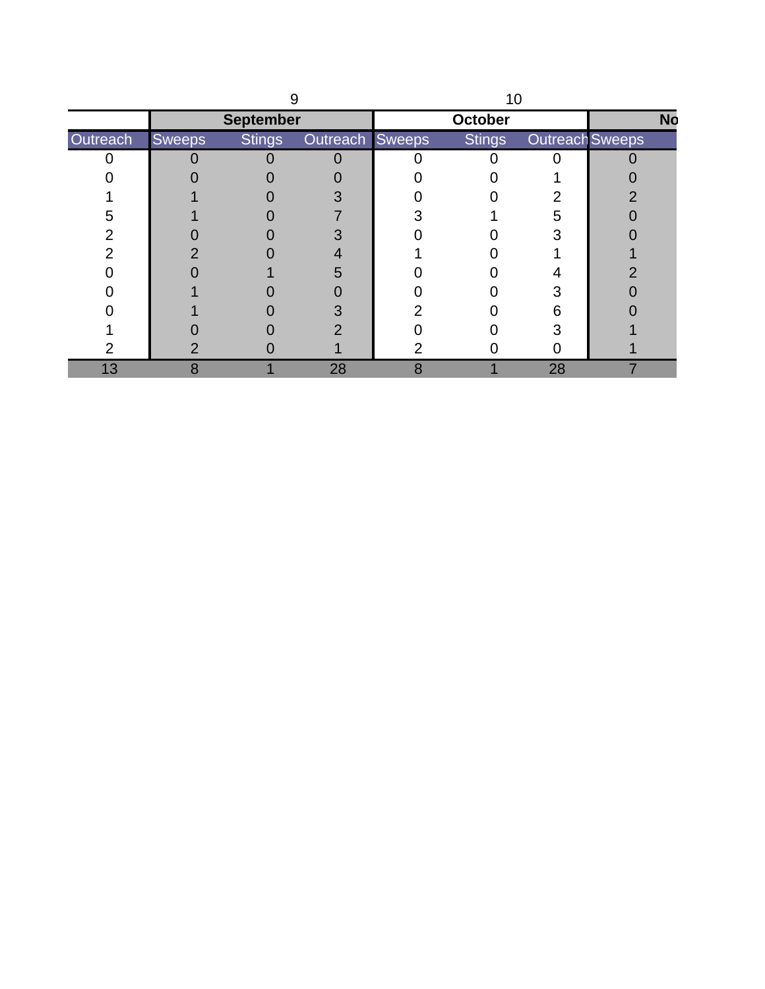|          |        | <b>September</b> |                 |   | October       |                        | <b>No</b> |
|----------|--------|------------------|-----------------|---|---------------|------------------------|-----------|
| Outreach | Sweeps | <b>Stings</b>    | Outreach Sweeps |   | <b>Stings</b> | <b>Outreach Sweeps</b> |           |
|          |        |                  |                 |   |               |                        |           |
|          |        |                  |                 |   |               |                        |           |
|          |        |                  |                 |   |               |                        |           |
| 5        |        |                  |                 |   |               | 5                      |           |
|          |        |                  |                 |   |               |                        |           |
|          |        |                  |                 |   |               |                        |           |
|          |        |                  | 5               |   |               |                        |           |
|          |        |                  |                 |   |               |                        |           |
|          |        |                  |                 |   |               |                        |           |
|          |        |                  |                 |   |               |                        |           |
|          |        |                  |                 |   |               |                        |           |
| 13       | 8      |                  | 28              | 8 |               | 28                     |           |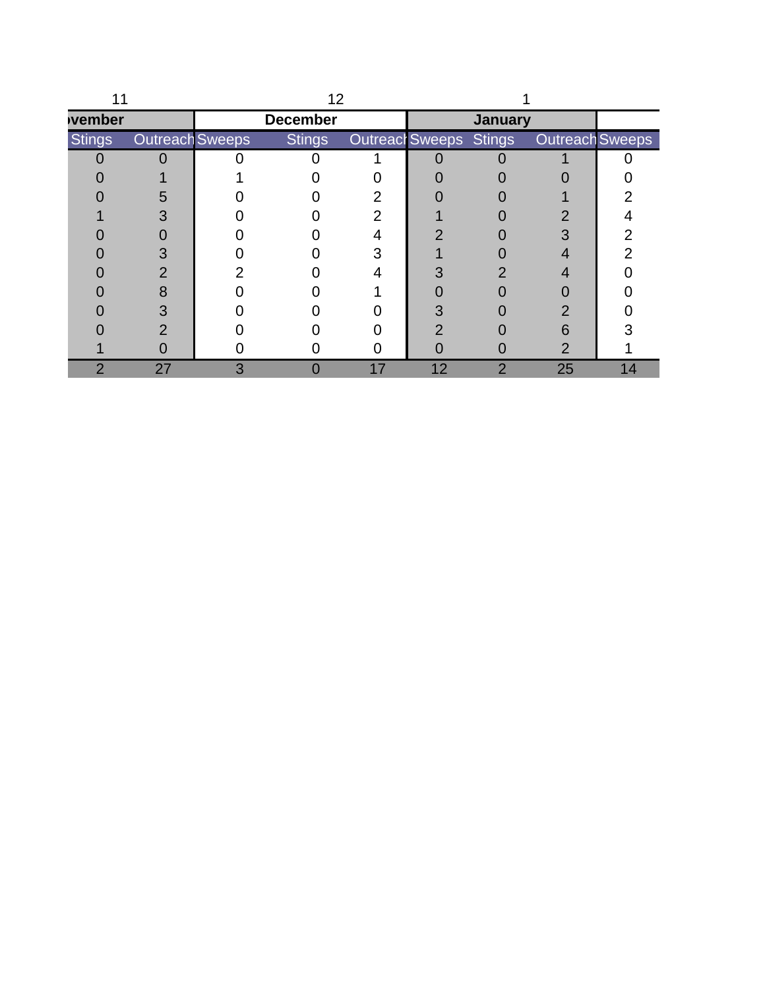|                |                        | 12              |    |    |                |                                        |    |
|----------------|------------------------|-----------------|----|----|----------------|----------------------------------------|----|
| vember         |                        | <b>December</b> |    |    | <b>January</b> |                                        |    |
| <b>Stings</b>  | <b>Outreach Sweeps</b> | <b>Stings</b>   |    |    |                | Outreacl Sweeps Stings Outreach Sweeps |    |
|                |                        |                 |    |    |                |                                        |    |
|                |                        |                 |    |    |                |                                        |    |
|                | 5                      |                 |    |    |                |                                        |    |
|                |                        |                 |    |    |                |                                        |    |
|                |                        |                 |    |    |                |                                        |    |
|                |                        |                 |    |    |                |                                        |    |
|                |                        |                 |    |    |                |                                        |    |
|                |                        |                 |    |    |                |                                        |    |
|                |                        |                 |    |    |                |                                        |    |
|                |                        |                 |    |    |                | 6                                      |    |
|                |                        |                 |    |    |                |                                        |    |
| $\overline{2}$ | 27                     |                 | 17 | 12 | 2              | 25                                     | 14 |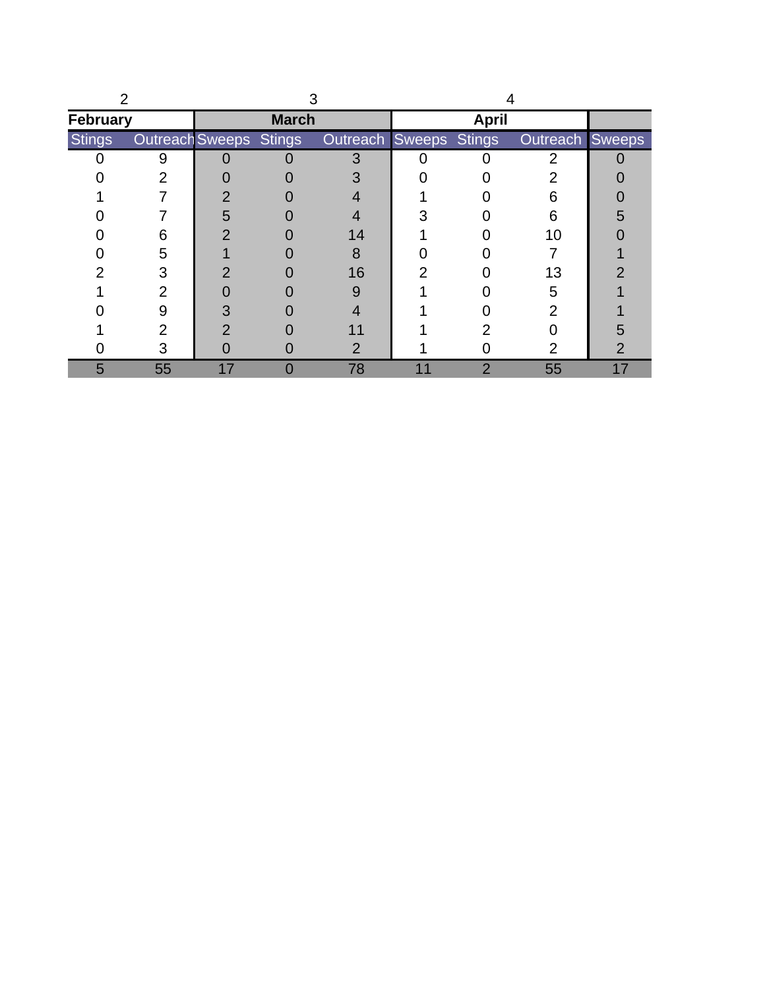| <b>February</b> |                               |    | <b>March</b> |                               |    | <b>April</b>   |                 |    |
|-----------------|-------------------------------|----|--------------|-------------------------------|----|----------------|-----------------|----|
| <b>Stings</b>   | <b>Outreach Sweeps Stings</b> |    |              | <b>Outreach Sweeps Stings</b> |    |                | Outreach Sweeps |    |
|                 | g                             |    |              |                               |    |                | ∩               |    |
|                 |                               |    |              |                               |    |                |                 |    |
|                 |                               | 2  |              |                               |    |                |                 |    |
|                 |                               | 5  |              |                               |    |                | 6               | h  |
|                 | 6                             |    |              | 14                            |    |                | 10              |    |
|                 | 5                             |    |              | 8                             |    |                |                 |    |
|                 | 3                             |    |              | 16                            |    |                | 13              |    |
|                 | $\overline{2}$                |    |              | 9                             |    |                | 5               |    |
|                 | 9                             |    |              |                               |    |                |                 |    |
|                 | 2                             |    |              |                               |    |                |                 |    |
|                 | З                             |    |              | כי                            |    |                | 2               |    |
| 5               | 55                            | 17 | O            | 78                            | 11 | $\overline{2}$ | 55              | 17 |